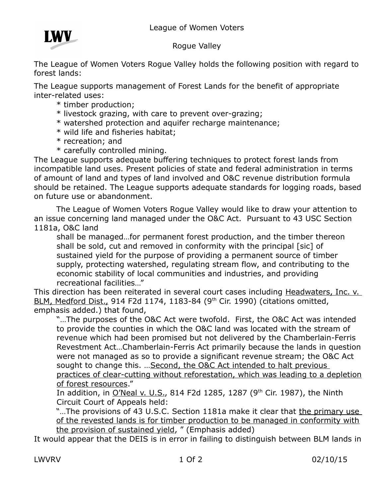

## Rogue Valley

The League of Women Voters Rogue Valley holds the following position with regard to forest lands:

The League supports management of Forest Lands for the benefit of appropriate inter-related uses:

- \* timber production;
- \* livestock grazing, with care to prevent over-grazing;
- \* watershed protection and aquifer recharge maintenance;
- \* wild life and fisheries habitat;
- \* recreation; and
- \* carefully controlled mining.

The League supports adequate buffering techniques to protect forest lands from incompatible land uses. Present policies of state and federal administration in terms of amount of land and types of land involved and O&C revenue distribution formula should be retained. The League supports adequate standards for logging roads, based on future use or abandonment.

The League of Women Voters Rogue Valley would like to draw your attention to an issue concerning land managed under the O&C Act. Pursuant to 43 USC Section 1181a, O&C land

shall be managed…for permanent forest production, and the timber thereon shall be sold, cut and removed in conformity with the principal [sic] of sustained yield for the purpose of providing a permanent source of timber supply, protecting watershed, regulating stream flow, and contributing to the economic stability of local communities and industries, and providing recreational facilities…"

This direction has been reiterated in several court cases including Headwaters, Inc. v. BLM, Medford Dist., 914 F2d 1174, 1183-84 (9<sup>th</sup> Cir. 1990) (citations omitted, emphasis added.) that found,

"…The purposes of the O&C Act were twofold. First, the O&C Act was intended to provide the counties in which the O&C land was located with the stream of revenue which had been promised but not delivered by the Chamberlain-Ferris Revestment Act…Chamberlain-Ferris Act primarily because the lands in question were not managed as so to provide a significant revenue stream; the O&C Act sought to change this. ... Second, the O&C Act intended to halt previous practices of clear-cutting without reforestation, which was leading to a depletion of forest resources."

In addition, in O'Neal v. U.S., 814 F2d 1285, 1287 (9<sup>th</sup> Cir. 1987), the Ninth Circuit Court of Appeals held:

"...The provisions of 43 U.S.C. Section 1181a make it clear that the primary use of the revested lands is for timber production to be managed in conformity with the provision of sustained yield, " (Emphasis added)

It would appear that the DEIS is in error in failing to distinguish between BLM lands in